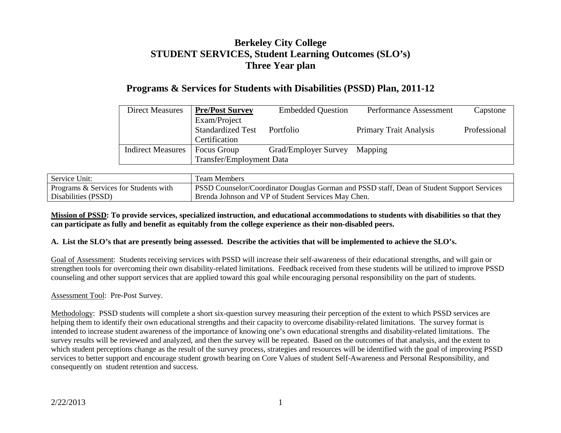# **Berkeley City College STUDENT SERVICES, Student Learning Outcomes (SLO's) Three Year plan**

## **Programs & Services for Students with Disabilities (PSSD) Plan, 2011-12**

| <b>Direct Measures</b>   | <b>Pre/Post Survey</b>          | <b>Embedded Question</b> | Performance Assessment        | Capstone     |
|--------------------------|---------------------------------|--------------------------|-------------------------------|--------------|
|                          | Exam/Project                    |                          |                               |              |
|                          | <b>Standardized Test</b>        | Portfolio                | <b>Primary Trait Analysis</b> | Professional |
|                          | Certification                   |                          |                               |              |
| <b>Indirect Measures</b> | Focus Group                     | Grad/Employer Survey     | Mapping                       |              |
|                          | <b>Transfer/Employment Data</b> |                          |                               |              |

| Service Unit:                         | Team Members                                                                               |
|---------------------------------------|--------------------------------------------------------------------------------------------|
| Programs & Services for Students with | PSSD Counselor/Coordinator Douglas Gorman and PSSD staff, Dean of Student Support Services |
| Disabilities (PSSD)                   | Brenda Johnson and VP of Student Services May Chen.                                        |

#### **Mission of PSSD: To provide services, specialized instruction, and educational accommodations to students with disabilities so that they can participate as fully and benefit as equitably from the college experience as their non-disabled peers.**

#### **A. List the SLO's that are presently being assessed. Describe the activities that will be implemented to achieve the SLO's.**

Goal of Assessment: Students receiving services with PSSD will increase their self-awareness of their educational strengths, and will gain or strengthen tools for overcoming their own disability-related limitations. Feedback received from these students will be utilized to improve PSSD counseling and other support services that are applied toward this goal while encouraging personal responsibility on the part of students.

Assessment Tool: Pre-Post Survey.

Methodology: PSSD students will complete a short six-question survey measuring their perception of the extent to which PSSD services are helping them to identify their own educational strengths and their capacity to overcome disability-related limitations. The survey format is intended to increase student awareness of the importance of knowing one's own educational strengths and disability-related limitations. The survey results will be reviewed and analyzed, and then the survey will be repeated. Based on the outcomes of that analysis, and the extent to which student perceptions change as the result of the survey process, strategies and resources will be identified with the goal of improving PSSD services to better support and encourage student growth bearing on Core Values of student Self-Awareness and Personal Responsibility, and consequently on student retention and success.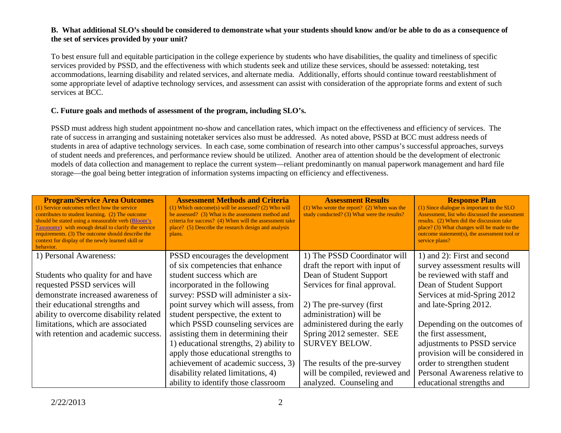#### **B. What additional SLO's should be considered to demonstrate what your students should know and/or be able to do as a consequence of the set of services provided by your unit?**

To best ensure full and equitable participation in the college experience by students who have disabilities, the quality and timeliness of specific services provided by PSSD, and the effectiveness with which students seek and utilize these services, should be assessed: notetaking, test accommodations, learning disability and related services, and alternate media. Additionally, efforts should continue toward reestablishment of some appropriate level of adaptive technology services, and assessment can assist with consideration of the appropriate forms and extent of such services at BCC.

#### **C. Future goals and methods of assessment of the program, including SLO's.**

PSSD must address high student appointment no-show and cancellation rates, which impact on the effectiveness and efficiency of services. The rate of success in arranging and sustaining notetaker services also must be addressed. As noted above, PSSD at BCC must address needs of students in area of adaptive technology services. In each case, some combination of research into other campus's successful approaches, surveys of student needs and preferences, and performance review should be utilized. Another area of attention should be the development of electronic models of data collection and management to replace the current system—reliant predominantly on manual paperwork management and hard file storage—the goal being better integration of information systems impacting on efficiency and effectiveness.

| <b>Program/Service Area Outcomes</b><br>(1) Service outcomes reflect how the service<br>contributes to student learning. (2) The outcome<br>should be stated using a measurable verb (Bloom's<br><b>Taxonomy</b> ) with enough detail to clarify the service<br>requirements. (3) The outcome should describe the<br>context for display of the newly learned skill or<br>behavior. | <b>Assessment Methods and Criteria</b><br>$(1)$ Which outcome(s) will be assessed? (2) Who will<br>be assessed? (3) What is the assessment method and<br>criteria for success? (4) When will the assessment take<br>place? (5) Describe the research design and analysis<br>plans. | <b>Assessment Results</b><br>$(1)$ Who wrote the report? $(2)$ When was the<br>study conducted? (3) What were the results? | <b>Response Plan</b><br>(1) Since dialogue is important to the SLO<br>Assessment, list who discussed the assessment<br>results. (2) When did the discussion take<br>place? (3) What changes will be made to the<br>outcome statement(s), the assessment tool or<br>service plans? |
|-------------------------------------------------------------------------------------------------------------------------------------------------------------------------------------------------------------------------------------------------------------------------------------------------------------------------------------------------------------------------------------|------------------------------------------------------------------------------------------------------------------------------------------------------------------------------------------------------------------------------------------------------------------------------------|----------------------------------------------------------------------------------------------------------------------------|-----------------------------------------------------------------------------------------------------------------------------------------------------------------------------------------------------------------------------------------------------------------------------------|
| 1) Personal Awareness:                                                                                                                                                                                                                                                                                                                                                              | PSSD encourages the development                                                                                                                                                                                                                                                    | 1) The PSSD Coordinator will                                                                                               | 1) and 2): First and second                                                                                                                                                                                                                                                       |
|                                                                                                                                                                                                                                                                                                                                                                                     | of six competencies that enhance                                                                                                                                                                                                                                                   | draft the report with input of                                                                                             | survey assessment results will                                                                                                                                                                                                                                                    |
| Students who quality for and have                                                                                                                                                                                                                                                                                                                                                   | student success which are                                                                                                                                                                                                                                                          | Dean of Student Support                                                                                                    | be reviewed with staff and                                                                                                                                                                                                                                                        |
| requested PSSD services will                                                                                                                                                                                                                                                                                                                                                        | incorporated in the following                                                                                                                                                                                                                                                      | Services for final approval.                                                                                               | Dean of Student Support                                                                                                                                                                                                                                                           |
| demonstrate increased awareness of                                                                                                                                                                                                                                                                                                                                                  | survey: PSSD will administer a six-                                                                                                                                                                                                                                                |                                                                                                                            | Services at mid-Spring 2012                                                                                                                                                                                                                                                       |
| their educational strengths and                                                                                                                                                                                                                                                                                                                                                     | point survey which will assess, from                                                                                                                                                                                                                                               | 2) The pre-survey (first)                                                                                                  | and late-Spring 2012.                                                                                                                                                                                                                                                             |
| ability to overcome disability related                                                                                                                                                                                                                                                                                                                                              | student perspective, the extent to                                                                                                                                                                                                                                                 | administration) will be                                                                                                    |                                                                                                                                                                                                                                                                                   |
| limitations, which are associated                                                                                                                                                                                                                                                                                                                                                   | which PSSD counseling services are                                                                                                                                                                                                                                                 | administered during the early                                                                                              | Depending on the outcomes of                                                                                                                                                                                                                                                      |
| with retention and academic success.                                                                                                                                                                                                                                                                                                                                                | assisting them in determining their                                                                                                                                                                                                                                                | Spring 2012 semester. SEE                                                                                                  | the first assessment,                                                                                                                                                                                                                                                             |
|                                                                                                                                                                                                                                                                                                                                                                                     | 1) educational strengths, 2) ability to                                                                                                                                                                                                                                            | <b>SURVEY BELOW.</b>                                                                                                       | adjustments to PSSD service                                                                                                                                                                                                                                                       |
|                                                                                                                                                                                                                                                                                                                                                                                     | apply those educational strengths to                                                                                                                                                                                                                                               |                                                                                                                            | provision will be considered in                                                                                                                                                                                                                                                   |
|                                                                                                                                                                                                                                                                                                                                                                                     | achievement of academic success, 3)                                                                                                                                                                                                                                                | The results of the pre-survey                                                                                              | order to strengthen student                                                                                                                                                                                                                                                       |
|                                                                                                                                                                                                                                                                                                                                                                                     | disability related limitations, 4)                                                                                                                                                                                                                                                 | will be compiled, reviewed and                                                                                             | Personal Awareness relative to                                                                                                                                                                                                                                                    |
|                                                                                                                                                                                                                                                                                                                                                                                     | ability to identify those classroom                                                                                                                                                                                                                                                | analyzed. Counseling and                                                                                                   | educational strengths and                                                                                                                                                                                                                                                         |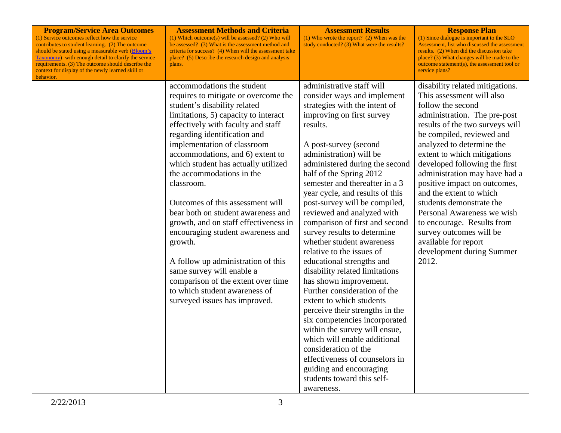| <b>Program/Service Area Outcomes</b><br>(1) Service outcomes reflect how the service<br>contributes to student learning. (2) The outcome<br>should be stated using a measurable verb (Bloom's<br><b>Taxonomy</b> with enough detail to clarify the service<br>requirements. (3) The outcome should describe the<br>context for display of the newly learned skill or<br>behavior. | Assessment Methods and Criteria<br>(1) Which outcome(s) will be assessed? (2) Who will<br>be assessed? (3) What is the assessment method and<br>criteria for success? (4) When will the assessment take<br>place? (5) Describe the research design and analysis<br>plans.                                                                                                                                                                                                                                                                                                                                                                                                                                           | <b>Assessment Results</b><br>$(1)$ Who wrote the report? $(2)$ When was the<br>study conducted? (3) What were the results?                                                                                                                                                                                                                                                                                                                                                                                                                                                                                                                                                                                                                                                                                                                                                                                                                    | <b>Response Plan</b><br>(1) Since dialogue is important to the SLO<br>Assessment, list who discussed the assessment<br>results. (2) When did the discussion take<br>place? (3) What changes will be made to the<br>outcome statement(s), the assessment tool or<br>service plans?                                                                                                                                                                                                                                                                           |
|-----------------------------------------------------------------------------------------------------------------------------------------------------------------------------------------------------------------------------------------------------------------------------------------------------------------------------------------------------------------------------------|---------------------------------------------------------------------------------------------------------------------------------------------------------------------------------------------------------------------------------------------------------------------------------------------------------------------------------------------------------------------------------------------------------------------------------------------------------------------------------------------------------------------------------------------------------------------------------------------------------------------------------------------------------------------------------------------------------------------|-----------------------------------------------------------------------------------------------------------------------------------------------------------------------------------------------------------------------------------------------------------------------------------------------------------------------------------------------------------------------------------------------------------------------------------------------------------------------------------------------------------------------------------------------------------------------------------------------------------------------------------------------------------------------------------------------------------------------------------------------------------------------------------------------------------------------------------------------------------------------------------------------------------------------------------------------|-------------------------------------------------------------------------------------------------------------------------------------------------------------------------------------------------------------------------------------------------------------------------------------------------------------------------------------------------------------------------------------------------------------------------------------------------------------------------------------------------------------------------------------------------------------|
|                                                                                                                                                                                                                                                                                                                                                                                   | accommodations the student<br>requires to mitigate or overcome the<br>student's disability related<br>limitations, 5) capacity to interact<br>effectively with faculty and staff<br>regarding identification and<br>implementation of classroom<br>accommodations, and 6) extent to<br>which student has actually utilized<br>the accommodations in the<br>classroom.<br>Outcomes of this assessment will<br>bear both on student awareness and<br>growth, and on staff effectiveness in<br>encouraging student awareness and<br>growth.<br>A follow up administration of this<br>same survey will enable a<br>comparison of the extent over time<br>to which student awareness of<br>surveyed issues has improved. | administrative staff will<br>consider ways and implement<br>strategies with the intent of<br>improving on first survey<br>results.<br>A post-survey (second<br>administration) will be<br>administered during the second<br>half of the Spring 2012<br>semester and thereafter in a 3<br>year cycle, and results of this<br>post-survey will be compiled,<br>reviewed and analyzed with<br>comparison of first and second<br>survey results to determine<br>whether student awareness<br>relative to the issues of<br>educational strengths and<br>disability related limitations<br>has shown improvement.<br>Further consideration of the<br>extent to which students<br>perceive their strengths in the<br>six competencies incorporated<br>within the survey will ensue,<br>which will enable additional<br>consideration of the<br>effectiveness of counselors in<br>guiding and encouraging<br>students toward this self-<br>awareness. | disability related mitigations.<br>This assessment will also<br>follow the second<br>administration. The pre-post<br>results of the two surveys will<br>be compiled, reviewed and<br>analyzed to determine the<br>extent to which mitigations<br>developed following the first<br>administration may have had a<br>positive impact on outcomes,<br>and the extent to which<br>students demonstrate the<br>Personal Awareness we wish<br>to encourage. Results from<br>survey outcomes will be<br>available for report<br>development during Summer<br>2012. |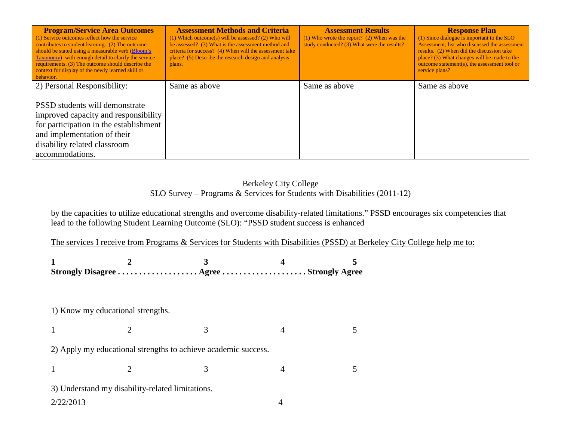| <b>Program/Service Area Outcomes</b><br>(1) Service outcomes reflect how the service<br>contributes to student learning. (2) The outcome<br>should be stated using a measurable verb (Bloom's<br>Taxonomy) with enough detail to clarify the service<br>requirements. (3) The outcome should describe the<br>context for display of the newly learned skill or<br>behavior. | <b>Assessment Methods and Criteria</b><br>$(1)$ Which outcome(s) will be assessed? (2) Who will<br>be assessed? (3) What is the assessment method and<br>criteria for success? (4) When will the assessment take<br>place? (5) Describe the research design and analysis<br>plans. | <b>Assessment Results</b><br>$(1)$ Who wrote the report? (2) When was the<br>study conducted? (3) What were the results? | <b>Response Plan</b><br>(1) Since dialogue is important to the SLO<br>Assessment, list who discussed the assessment<br>results. (2) When did the discussion take<br>place? (3) What changes will be made to the<br>outcome statement(s), the assessment tool or<br>service plans? |
|-----------------------------------------------------------------------------------------------------------------------------------------------------------------------------------------------------------------------------------------------------------------------------------------------------------------------------------------------------------------------------|------------------------------------------------------------------------------------------------------------------------------------------------------------------------------------------------------------------------------------------------------------------------------------|--------------------------------------------------------------------------------------------------------------------------|-----------------------------------------------------------------------------------------------------------------------------------------------------------------------------------------------------------------------------------------------------------------------------------|
| 2) Personal Responsibility:                                                                                                                                                                                                                                                                                                                                                 | Same as above                                                                                                                                                                                                                                                                      | Same as above                                                                                                            | Same as above                                                                                                                                                                                                                                                                     |
| PSSD students will demonstrate<br>improved capacity and responsibility<br>for participation in the establishment<br>and implementation of their<br>disability related classroom<br>accommodations.                                                                                                                                                                          |                                                                                                                                                                                                                                                                                    |                                                                                                                          |                                                                                                                                                                                                                                                                                   |

### Berkeley City College SLO Survey – Programs & Services for Students with Disabilities (2011-12)

by the capacities to utilize educational strengths and overcome disability-related limitations." PSSD encourages six competencies that lead to the following Student Learning Outcome (SLO): "PSSD student success is enhanced

The services I receive from Programs & Services for Students with Disabilities (PSSD) at Berkeley City College help me to:

|  | Strongly Disagree  Agree  Strongly Agree |  |
|--|------------------------------------------|--|

#### 1) Know my educational strengths.

1 2 3 4 5

2) Apply my educational strengths to achieve academic success.

1 2 3 4 5

3) Understand my disability-related limitations.

2/22/2013 4